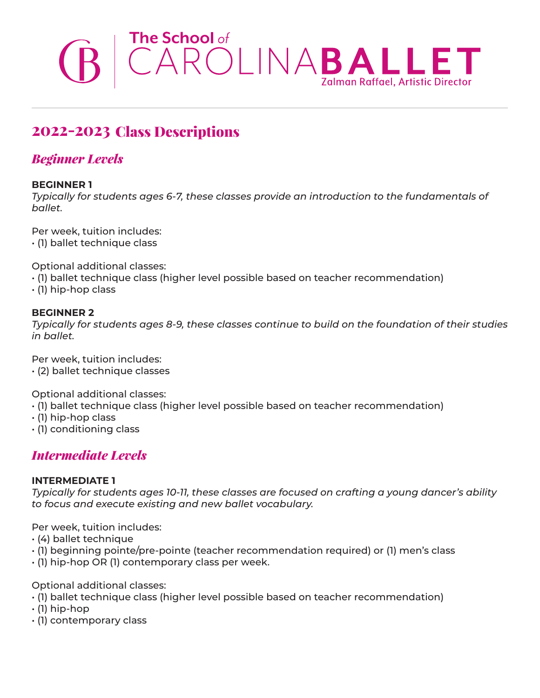# The School of<br>
CAROLINABALLET

# 2022-2023 Class Descriptions

# *Beginner Levels*

### **BEGINNER 1**

*Typically for students ages 6-7, these classes provide an introduction to the fundamentals of ballet.*

Per week, tuition includes: • (1) ballet technique class

Optional additional classes:

- (1) ballet technique class (higher level possible based on teacher recommendation)
- $\cdot$  (1) hip-hop class

### **BEGINNER 2**

*Typically for students ages 8-9, these classes continue to build on the foundation of their studies in ballet.*

Per week, tuition includes: • (2) ballet technique classes

Optional additional classes:

- (1) ballet technique class (higher level possible based on teacher recommendation)
- (1) hip-hop class
- (1) conditioning class

# *Intermediate Levels*

### **INTERMEDIATE 1**

*Typically for students ages 10-11, these classes are focused on crafting a young dancer's ability to focus and execute existing and new ballet vocabulary.*

Per week, tuition includes:

- (4) ballet technique
- (1) beginning pointe/pre-pointe (teacher recommendation required) or (1) men's class
- (1) hip-hop OR (1) contemporary class per week.

Optional additional classes:

- (1) ballet technique class (higher level possible based on teacher recommendation)
- (1) hip-hop
- (1) contemporary class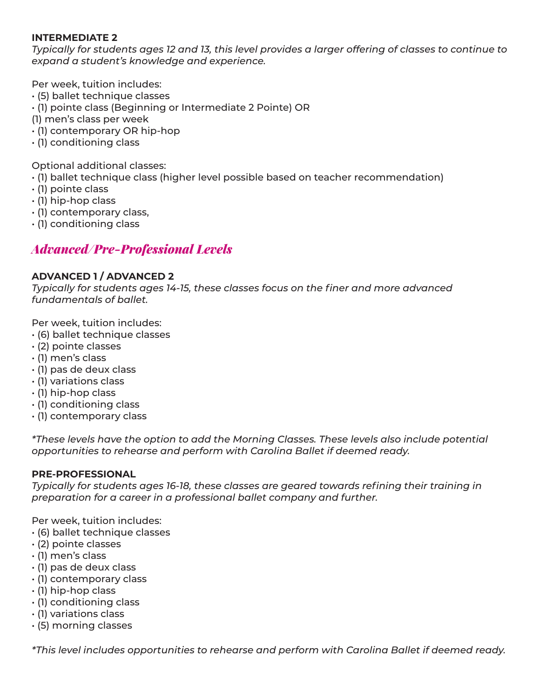### **INTERMEDIATE 2**

*Typically for students ages 12 and 13, this level provides a larger offering of classes to continue to expand a student's knowledge and experience.*

Per week, tuition includes:

- (5) ballet technique classes
- (1) pointe class (Beginning or Intermediate 2 Pointe) OR
- (1) men's class per week
- (1) contemporary OR hip-hop
- (1) conditioning class

Optional additional classes:

- (1) ballet technique class (higher level possible based on teacher recommendation)
- (1) pointe class
- (1) hip-hop class
- (1) contemporary class,
- (1) conditioning class

## *Advanced/Pre-Professional Levels*

### **ADVANCED 1 / ADVANCED 2**

*Typically for students ages 14-15, these classes focus on the finer and more advanced fundamentals of ballet.* 

Per week, tuition includes:

- (6) ballet technique classes
- (2) pointe classes
- (1) men's class
- (1) pas de deux class
- (1) variations class
- (1) hip-hop class
- (1) conditioning class
- (1) contemporary class

*\*These levels have the option to add the Morning Classes. These levels also include potential opportunities to rehearse and perform with Carolina Ballet if deemed ready.* 

### **PRE-PROFESSIONAL**

*Typically for students ages 16-18, these classes are geared towards refining their training in preparation for a career in a professional ballet company and further.* 

Per week, tuition includes:

- (6) ballet technique classes
- (2) pointe classes
- (1) men's class
- (1) pas de deux class
- (1) contemporary class
- (1) hip-hop class
- (1) conditioning class
- (1) variations class
- (5) morning classes

*\*This level includes opportunities to rehearse and perform with Carolina Ballet if deemed ready.*